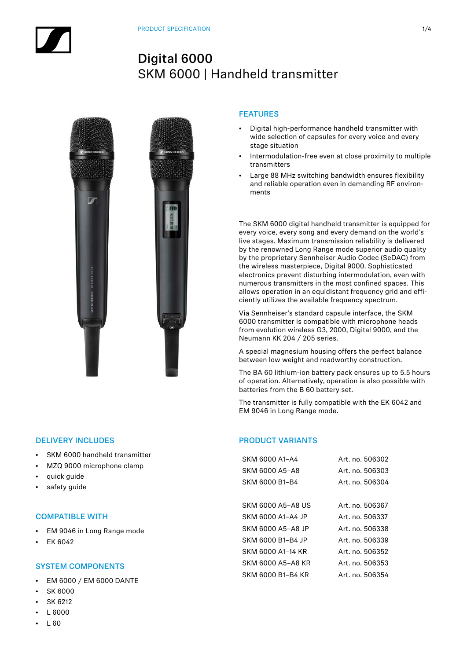# $\overline{\mathscr{L}}$

# FEATURES

- Digital high-performance handheld transmitter with wide selection of capsules for every voice and every stage situation
- Intermodulation-free even at close proximity to multiple transmitters
- Large 88 MHz switching bandwidth ensures flexibility and reliable operation even in demanding RF environments

The SKM 6000 digital handheld transmitter is equipped for every voice, every song and every demand on the world's live stages. Maximum transmission reliability is delivered by the renowned Long Range mode superior audio quality by the proprietary Sennheiser Audio Codec (SeDAC) from the wireless masterpiece, Digital 9000. Sophisticated electronics prevent disturbing intermodulation, even with numerous transmitters in the most confined spaces. This allows operation in an equidistant frequency grid and efficiently utilizes the available frequency spectrum.

Via Sennheiser's standard capsule interface, the SKM 6000 transmitter is compatible with microphone heads from evolution wireless G3, 2000, Digital 9000, and the Neumann KK 204 / 205 series.

A special magnesium housing offers the perfect balance between low weight and roadworthy construction.

The BA 60 lithium-ion battery pack ensures up to 5.5 hours of operation. Alternatively, operation is also possible with batteries from the B 60 battery set.

The transmitter is fully compatible with the EK 6042 and EM 9046 in Long Range mode.

# PRODUCT VARIANTS

| Art. no. 506302 |
|-----------------|
| Art. no. 506303 |
| Art. no. 506304 |
|                 |
| Art. no. 506367 |
| Art. no. 506337 |
| Art. no. 506338 |
| Art. no. 506339 |
| Art. no. 506352 |
| Art. no. 506353 |
| Art. no. 506354 |
|                 |

## DELIVERY INCLUDES

- SKM 6000 handheld transmitter
- MZQ 9000 microphone clamp
- quick guide
- safety guide

### COMPATIBLE WITH

- EM 9046 in Long Range mode
- EK 6042

### SYSTEM COMPONENTS

- EM 6000 / EM 6000 DANTE
- SK 6000
- SK 6212
- L 6000
- $1.60$

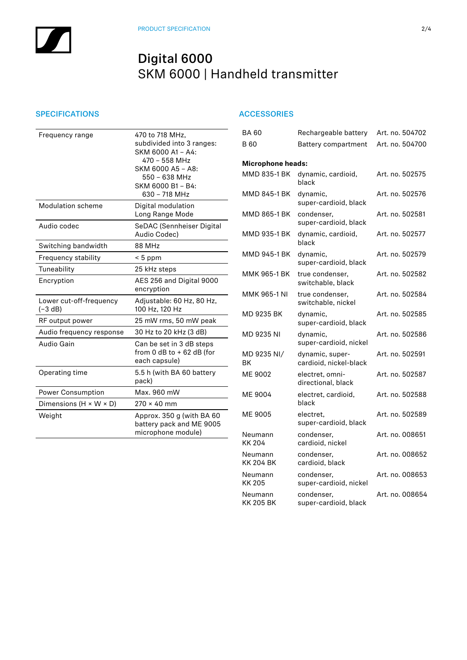## SPECIFICATIONS ACCESSORIES

| Frequency range                      | 470 to 718 MHz,<br>subdivided into 3 ranges:<br>SKM 6000 A1 - A4:<br>470 - 558 MHz<br>SKM 6000 A5 - A8:<br>550 - 638 MHz<br>SKM 6000 B1 - B4:<br>630 - 718 MHz |
|--------------------------------------|----------------------------------------------------------------------------------------------------------------------------------------------------------------|
| <b>Modulation scheme</b>             | Digital modulation<br>Long Range Mode                                                                                                                          |
| Audio codec                          | SeDAC (Sennheiser Digital<br>Audio Codec)                                                                                                                      |
| Switching bandwidth                  | <b>88 MHz</b>                                                                                                                                                  |
| Frequency stability                  | $< 5$ ppm                                                                                                                                                      |
| Tuneability                          | 25 kHz steps                                                                                                                                                   |
| Encryption                           | AES 256 and Digital 9000<br>encryption                                                                                                                         |
| Lower cut-off-frequency<br>$(-3 dB)$ | Adjustable: 60 Hz, 80 Hz,<br>100 Hz, 120 Hz                                                                                                                    |
| RF output power                      | 25 mW rms, 50 mW peak                                                                                                                                          |
| Audio frequency response             | 30 Hz to 20 kHz (3 dB)                                                                                                                                         |
| Audio Gain                           | Can be set in 3 dB steps<br>from 0 dB to $+$ 62 dB (for<br>each capsule)                                                                                       |
| Operating time                       | 5.5 h (with BA 60 battery<br>pack)                                                                                                                             |
| <b>Power Consumption</b>             | Max. 960 mW                                                                                                                                                    |
| Dimensions ( $H \times W \times D$ ) | $270 \times 40$ mm                                                                                                                                             |
| Weight                               | Approx. 350 g (with BA 60<br>battery pack and ME 9005<br>microphone module)                                                                                    |

| <b>BA60</b>                 | Rechargeable battery                      | Art. no. 504702 |
|-----------------------------|-------------------------------------------|-----------------|
| B 60                        | Battery compartment                       | Art. no. 504700 |
| <b>Microphone heads:</b>    |                                           |                 |
| MMD 835-1 BK                | dynamic, cardioid,<br>black               | Art. no. 502575 |
| MMD 845-1 BK                | dynamic,<br>super-cardioid, black         | Art. no. 502576 |
| MMD 865-1 BK                | condenser,<br>super-cardioid, black       | Art. no. 502581 |
| MMD 935-1 BK                | dynamic, cardioid,<br>black               | Art. no. 502577 |
| MMD 945-1 BK                | dynamic,<br>super-cardioid, black         | Art. no. 502579 |
| MMK 965-1 BK                | true condenser.<br>switchable, black      | Art. no. 502582 |
| MMK 965-1 NI                | true condenser,<br>switchable, nickel     | Art. no. 502584 |
| MD 9235 BK                  | dynamic,<br>super-cardioid, black         | Art. no. 502585 |
| MD 9235 NI                  | dynamic,<br>super-cardioid, nickel        | Art. no. 502586 |
| MD 9235 NI/<br>ВK           | dynamic, super-<br>cardioid, nickel-black | Art. no. 502591 |
| ME 9002                     | electret, omni-<br>directional, black     | Art. no. 502587 |
| ME 9004                     | electret, cardioid,<br>black              | Art. no. 502588 |
| ME 9005                     | electret.<br>super-cardioid, black        | Art. no. 502589 |
| Neumann<br>KK 204           | condenser,<br>cardioid, nickel            | Art. no. 008651 |
| Neumann<br><b>KK 204 BK</b> | condenser,<br>cardioid, black             | Art. no. 008652 |
| Neumann<br>KK 205           | condenser,<br>super-cardioid, nickel      | Art. no. 008653 |
| Neumann<br>KK 205 BK        | condenser,<br>super-cardioid, black       | Art. no. 008654 |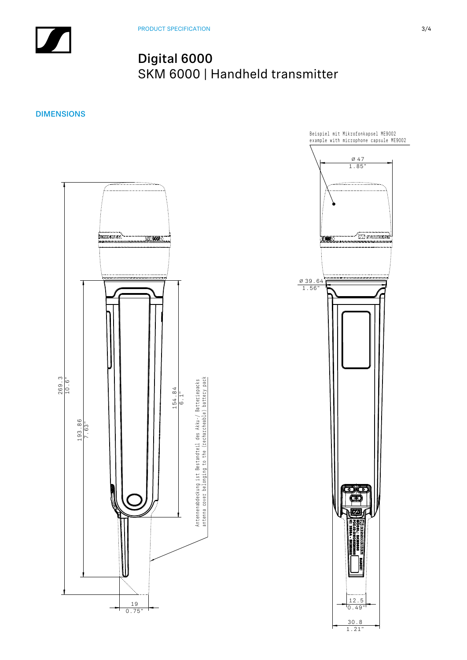DIMENSIONS